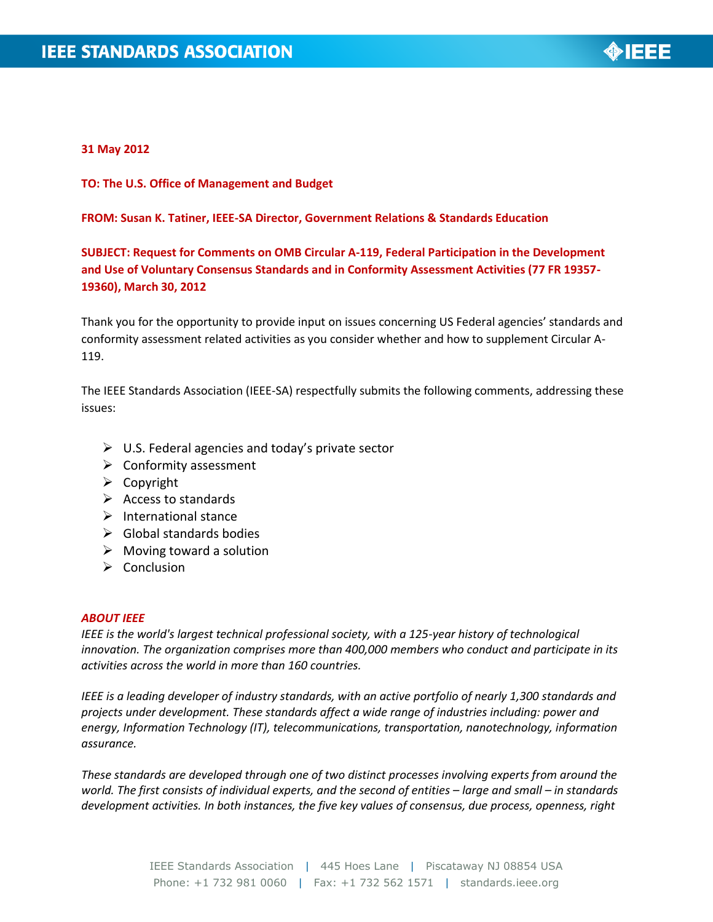

## **31 May 2012**

**TO: The U.S. Office of Management and Budget**

#### **FROM: Susan K. Tatiner, IEEE-SA Director, Government Relations & Standards Education**

# **SUBJECT: Request for Comments on OMB Circular A-119, Federal Participation in the Development and Use of Voluntary Consensus Standards and in Conformity Assessment Activities (77 FR 19357- 19360), March 30, 2012**

Thank you for the opportunity to provide input on issues concerning US Federal agencies' standards and conformity assessment related activities as you consider whether and how to supplement Circular A-119.

The IEEE Standards Association (IEEE-SA) respectfully submits the following comments, addressing these issues:

- $\triangleright$  U.S. Federal agencies and today's private sector
- $\triangleright$  Conformity assessment
- $\triangleright$  Copyright
- $\triangleright$  Access to standards
- $\triangleright$  International stance
- $\triangleright$  Global standards bodies
- $\triangleright$  Moving toward a solution
- $\triangleright$  Conclusion

#### *ABOUT IEEE*

*IEEE is the world's largest technical professional society, with a 125-year history of technological innovation. The organization comprises more than 400,000 members who conduct and participate in its activities across the world in more than 160 countries.*

*IEEE is a leading developer of industry standards, with an active portfolio of nearly 1,300 standards and projects under development. These standards affect a wide range of industries including: power and energy, Information Technology (IT), telecommunications, transportation, nanotechnology, information assurance.* 

*These standards are developed through one of two distinct processes involving experts from around the world. The first consists of individual experts, and the second of entities – large and small – in standards development activities. In both instances, the five key values of consensus, due process, openness, right*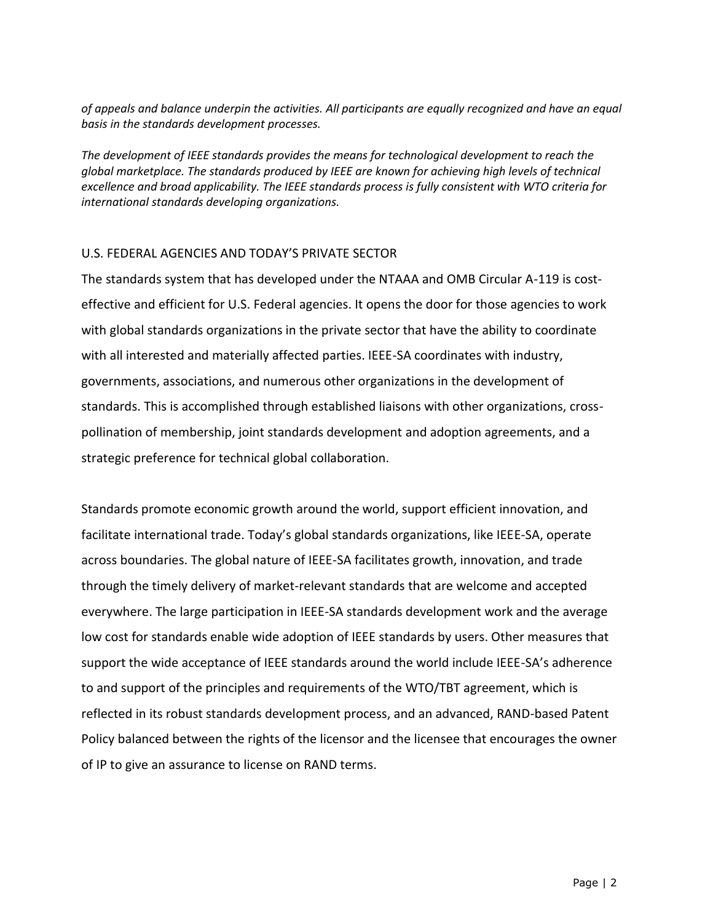*of appeals and balance underpin the activities. All participants are equally recognized and have an equal basis in the standards development processes.* 

*The development of IEEE standards provides the means for technological development to reach the global marketplace. The standards produced by IEEE are known for achieving high levels of technical excellence and broad applicability. The IEEE standards process is fully consistent with WTO criteria for international standards developing organizations.*

## U.S. FEDERAL AGENCIES AND TODAY'S PRIVATE SECTOR

The standards system that has developed under the NTAAA and OMB Circular A-119 is costeffective and efficient for U.S. Federal agencies. It opens the door for those agencies to work with global standards organizations in the private sector that have the ability to coordinate with all interested and materially affected parties. IEEE-SA coordinates with industry, governments, associations, and numerous other organizations in the development of standards. This is accomplished through established liaisons with other organizations, crosspollination of membership, joint standards development and adoption agreements, and a strategic preference for technical global collaboration.

Standards promote economic growth around the world, support efficient innovation, and facilitate international trade. Today's global standards organizations, like IEEE-SA, operate across boundaries. The global nature of IEEE-SA facilitates growth, innovation, and trade through the timely delivery of market-relevant standards that are welcome and accepted everywhere. The large participation in IEEE-SA standards development work and the average low cost for standards enable wide adoption of IEEE standards by users. Other measures that support the wide acceptance of IEEE standards around the world include IEEE-SA's adherence to and support of the principles and requirements of the WTO/TBT agreement, which is reflected in its robust standards development process, and an advanced, RAND-based Patent Policy balanced between the rights of the licensor and the licensee that encourages the owner of IP to give an assurance to license on RAND terms.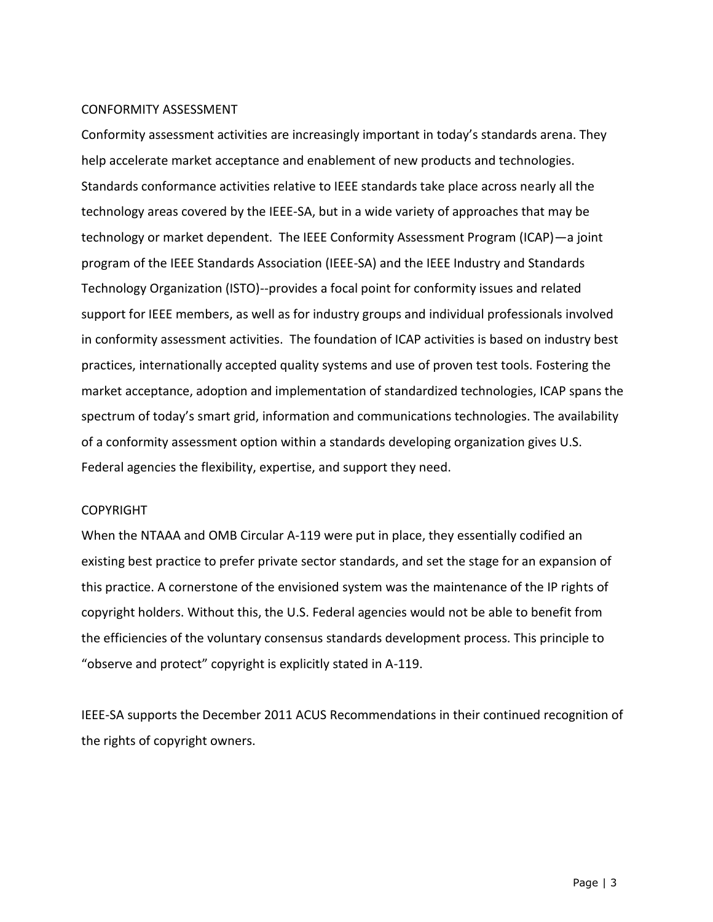### CONFORMITY ASSESSMENT

Conformity assessment activities are increasingly important in today's standards arena. They help accelerate market acceptance and enablement of new products and technologies. Standards conformance activities relative to IEEE standards take place across nearly all the technology areas covered by the IEEE-SA, but in a wide variety of approaches that may be technology or market dependent. The IEEE Conformity Assessment Program (ICAP)—a joint program of the IEEE Standards Association (IEEE-SA) and the IEEE Industry and Standards Technology Organization (ISTO)--provides a focal point for conformity issues and related support for IEEE members, as well as for industry groups and individual professionals involved in conformity assessment activities. The foundation of ICAP activities is based on industry best practices, internationally accepted quality systems and use of proven test tools. Fostering the market acceptance, adoption and implementation of standardized technologies, ICAP spans the spectrum of today's smart grid, information and communications technologies. The availability of a conformity assessment option within a standards developing organization gives U.S. Federal agencies the flexibility, expertise, and support they need.

#### COPYRIGHT

When the NTAAA and OMB Circular A-119 were put in place, they essentially codified an existing best practice to prefer private sector standards, and set the stage for an expansion of this practice. A cornerstone of the envisioned system was the maintenance of the IP rights of copyright holders. Without this, the U.S. Federal agencies would not be able to benefit from the efficiencies of the voluntary consensus standards development process. This principle to "observe and protect" copyright is explicitly stated in A-119.

IEEE-SA supports the December 2011 ACUS Recommendations in their continued recognition of the rights of copyright owners.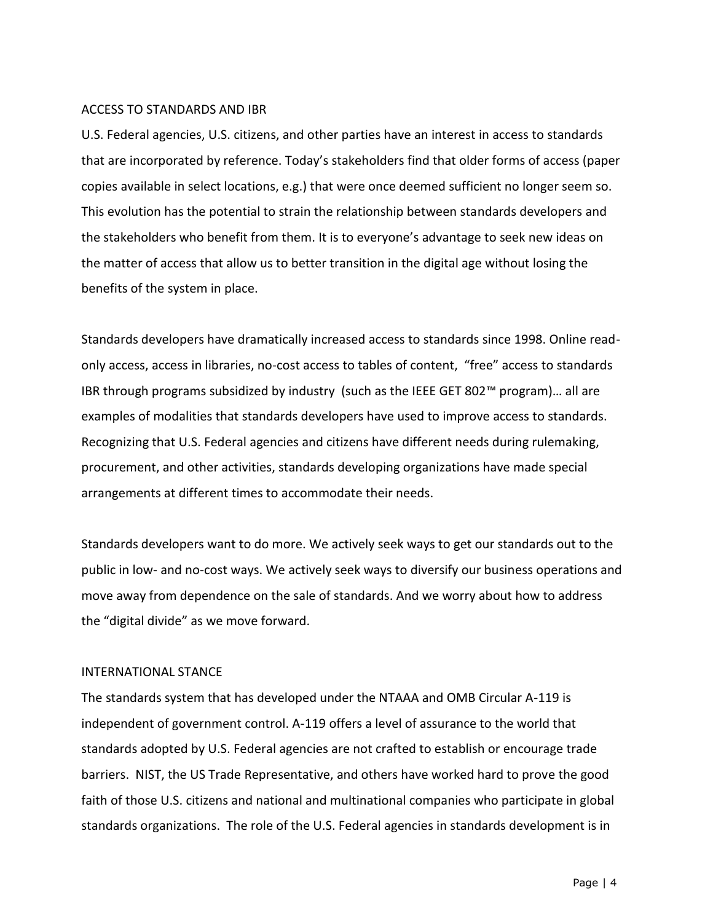## ACCESS TO STANDARDS AND IBR

U.S. Federal agencies, U.S. citizens, and other parties have an interest in access to standards that are incorporated by reference. Today's stakeholders find that older forms of access (paper copies available in select locations, e.g.) that were once deemed sufficient no longer seem so. This evolution has the potential to strain the relationship between standards developers and the stakeholders who benefit from them. It is to everyone's advantage to seek new ideas on the matter of access that allow us to better transition in the digital age without losing the benefits of the system in place.

Standards developers have dramatically increased access to standards since 1998. Online readonly access, access in libraries, no-cost access to tables of content, "free" access to standards IBR through programs subsidized by industry (such as the IEEE GET 802™ program)… all are examples of modalities that standards developers have used to improve access to standards. Recognizing that U.S. Federal agencies and citizens have different needs during rulemaking, procurement, and other activities, standards developing organizations have made special arrangements at different times to accommodate their needs.

Standards developers want to do more. We actively seek ways to get our standards out to the public in low- and no-cost ways. We actively seek ways to diversify our business operations and move away from dependence on the sale of standards. And we worry about how to address the "digital divide" as we move forward.

## INTERNATIONAL STANCE

The standards system that has developed under the NTAAA and OMB Circular A-119 is independent of government control. A-119 offers a level of assurance to the world that standards adopted by U.S. Federal agencies are not crafted to establish or encourage trade barriers. NIST, the US Trade Representative, and others have worked hard to prove the good faith of those U.S. citizens and national and multinational companies who participate in global standards organizations. The role of the U.S. Federal agencies in standards development is in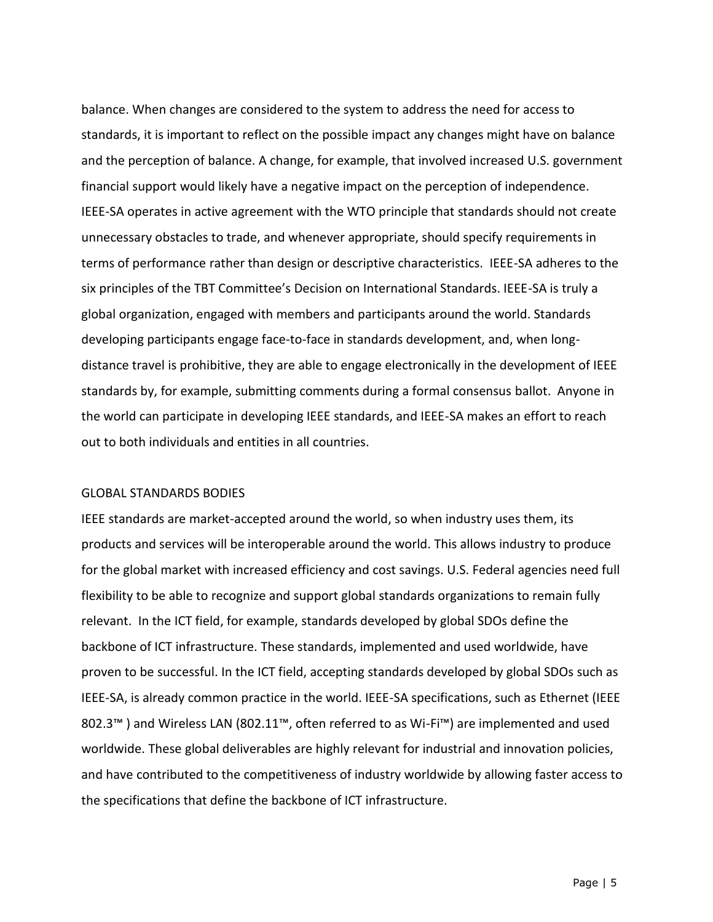balance. When changes are considered to the system to address the need for access to standards, it is important to reflect on the possible impact any changes might have on balance and the perception of balance. A change, for example, that involved increased U.S. government financial support would likely have a negative impact on the perception of independence. IEEE-SA operates in active agreement with the WTO principle that standards should not create unnecessary obstacles to trade, and whenever appropriate, should specify requirements in terms of performance rather than design or descriptive characteristics. IEEE-SA adheres to the six principles of the TBT Committee's Decision on International Standards. IEEE-SA is truly a global organization, engaged with members and participants around the world. Standards developing participants engage face-to-face in standards development, and, when longdistance travel is prohibitive, they are able to engage electronically in the development of IEEE standards by, for example, submitting comments during a formal consensus ballot. Anyone in the world can participate in developing IEEE standards, and IEEE-SA makes an effort to reach out to both individuals and entities in all countries.

## GLOBAL STANDARDS BODIES

IEEE standards are market-accepted around the world, so when industry uses them, its products and services will be interoperable around the world. This allows industry to produce for the global market with increased efficiency and cost savings. U.S. Federal agencies need full flexibility to be able to recognize and support global standards organizations to remain fully relevant. In the ICT field, for example, standards developed by global SDOs define the backbone of ICT infrastructure. These standards, implemented and used worldwide, have proven to be successful. In the ICT field, accepting standards developed by global SDOs such as IEEE-SA, is already common practice in the world. IEEE-SA specifications, such as Ethernet (IEEE 802.3™) and Wireless LAN (802.11™, often referred to as Wi-Fi™) are implemented and used worldwide. These global deliverables are highly relevant for industrial and innovation policies, and have contributed to the competitiveness of industry worldwide by allowing faster access to the specifications that define the backbone of ICT infrastructure.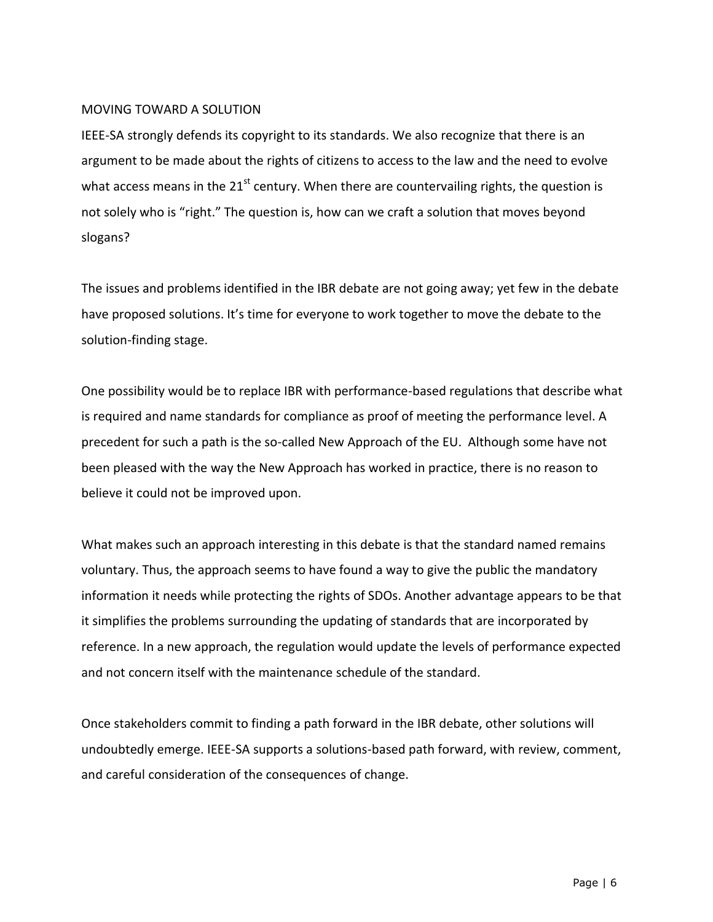## MOVING TOWARD A SOLUTION

IEEE-SA strongly defends its copyright to its standards. We also recognize that there is an argument to be made about the rights of citizens to access to the law and the need to evolve what access means in the  $21<sup>st</sup>$  century. When there are countervailing rights, the question is not solely who is "right." The question is, how can we craft a solution that moves beyond slogans?

The issues and problems identified in the IBR debate are not going away; yet few in the debate have proposed solutions. It's time for everyone to work together to move the debate to the solution-finding stage.

One possibility would be to replace IBR with performance-based regulations that describe what is required and name standards for compliance as proof of meeting the performance level. A precedent for such a path is the so-called New Approach of the EU. Although some have not been pleased with the way the New Approach has worked in practice, there is no reason to believe it could not be improved upon.

What makes such an approach interesting in this debate is that the standard named remains voluntary. Thus, the approach seems to have found a way to give the public the mandatory information it needs while protecting the rights of SDOs. Another advantage appears to be that it simplifies the problems surrounding the updating of standards that are incorporated by reference. In a new approach, the regulation would update the levels of performance expected and not concern itself with the maintenance schedule of the standard.

Once stakeholders commit to finding a path forward in the IBR debate, other solutions will undoubtedly emerge. IEEE-SA supports a solutions-based path forward, with review, comment, and careful consideration of the consequences of change.